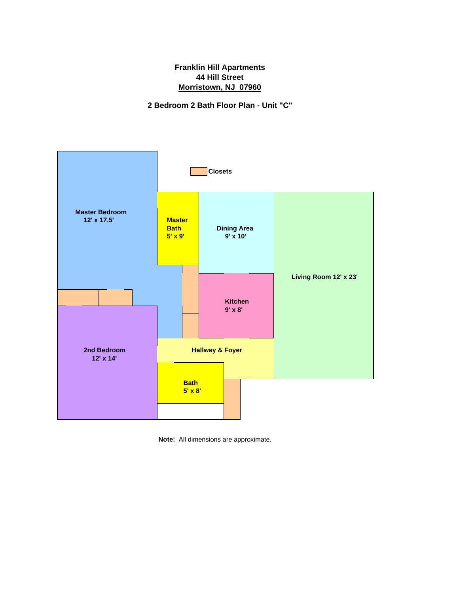**2 Bedroom 2 Bath Floor Plan - Unit "C"**



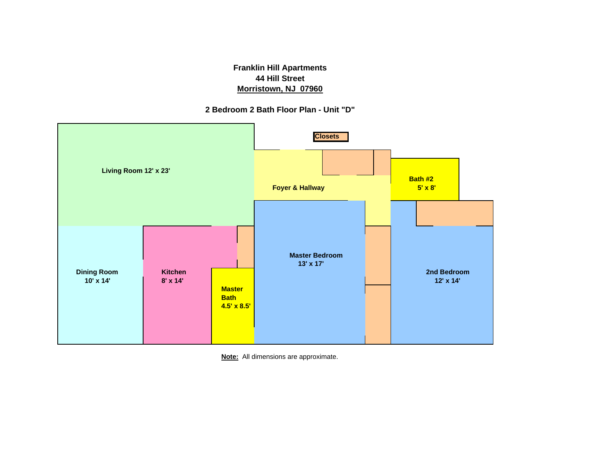**2 Bedroom 2 Bath Floor Plan - Unit "D"**



**Note:** All dimensions are approximate.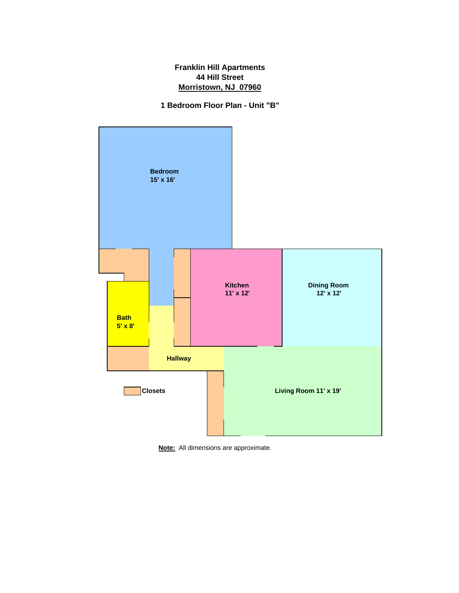**1 Bedroom Floor Plan - Unit "B"**